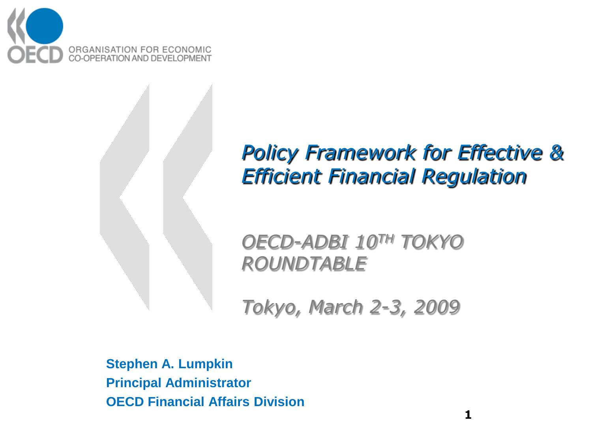

#### *Policy Framework for Effective & Efficient Financial Regulation*

*OECD-ADBI 10TH TOKYO ROUNDTABLE*

*Tokyo, March 2-3, 2009* 

**Stephen A. Lumpkin Principal Administrator OECD Financial Affairs Division**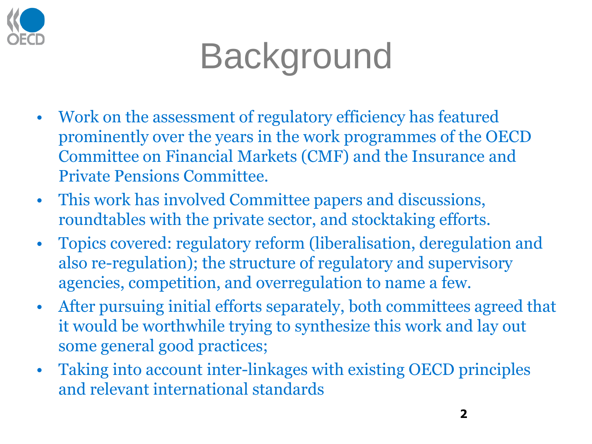

### **Background**

- Work on the assessment of regulatory efficiency has featured prominently over the years in the work programmes of the OECD Committee on Financial Markets (CMF) and the Insurance and Private Pensions Committee.
- This work has involved Committee papers and discussions, roundtables with the private sector, and stocktaking efforts.
- Topics covered: regulatory reform (liberalisation, deregulation and also re-regulation); the structure of regulatory and supervisory agencies, competition, and overregulation to name a few.
- After pursuing initial efforts separately, both committees agreed that it would be worthwhile trying to synthesize this work and lay out some general good practices;
- Taking into account inter-linkages with existing OECD principles and relevant international standards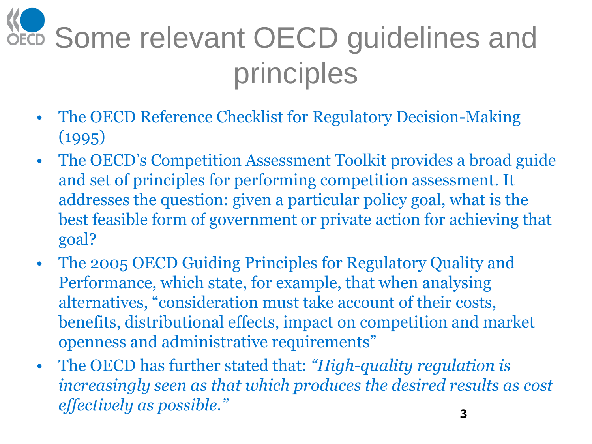## **WE Some relevant OECD guidelines and** principles

- The OECD Reference Checklist for Regulatory Decision-Making (1995)
- The OECD's Competition Assessment Toolkit provides a broad guide and set of principles for performing competition assessment. It addresses the question: given a particular policy goal, what is the best feasible form of government or private action for achieving that goal?
- The 2005 OECD Guiding Principles for Regulatory Quality and Performance, which state, for example, that when analysing alternatives, "consideration must take account of their costs, benefits, distributional effects, impact on competition and market openness and administrative requirements"
- The OECD has further stated that: *"High-quality regulation is increasingly seen as that which produces the desired results as cost effectively as possible."* **<sup>3</sup>**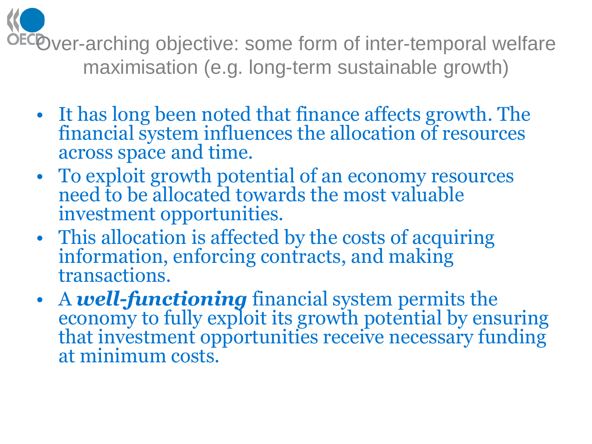ECOver-arching objective: some form of inter-temporal welfare maximisation (e.g. long-term sustainable growth)

- It has long been noted that finance affects growth. The financial system influences the allocation of resources across space and time.
- To exploit growth potential of an economy resources need to be allocated towards the most valuable investment opportunities.
- This allocation is affected by the costs of acquiring information, enforcing contracts, and making transactions.
- A *well-functioning* financial system permits the economy to fully exploit its growth potential by ensuring that investment opportunities receive necessary funding at minimum costs.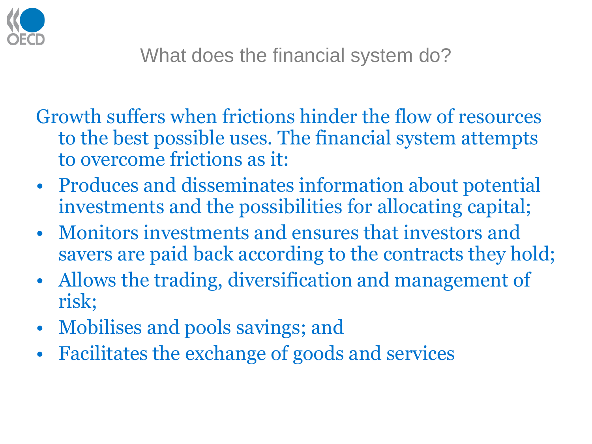

Growth suffers when frictions hinder the flow of resources to the best possible uses. The financial system attempts to overcome frictions as it:

- Produces and disseminates information about potential investments and the possibilities for allocating capital;
- Monitors investments and ensures that investors and savers are paid back according to the contracts they hold;
- Allows the trading, diversification and management of risk;
- Mobilises and pools savings; and
- Facilitates the exchange of goods and services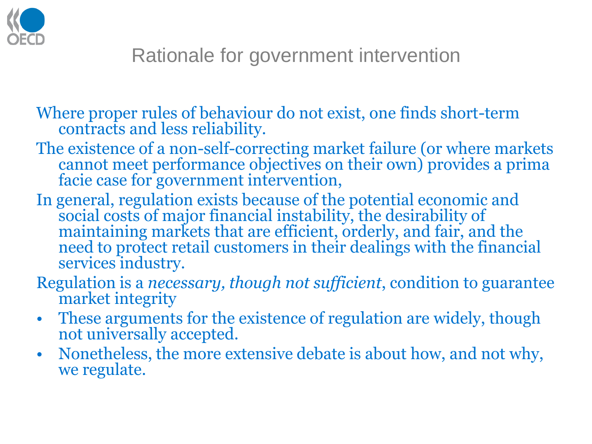

Where proper rules of behaviour do not exist, one finds short-term contracts and less reliability.

- The existence of a non-self-correcting market failure (or where markets cannot meet performance objectives on their own) provides a prima facie case for government intervention,
- In general, regulation exists because of the potential economic and social costs of major financial instability, the desirability of maintaining markets that are efficient, orderly, and fair, and the need to protect retail customers in their dealings with the financial services industry.
- Regulation is a *necessary, though not sufficient*, condition to guarantee market integrity
- These arguments for the existence of regulation are widely, though not universally accepted.
- Nonetheless, the more extensive debate is about how, and not why, we regulate.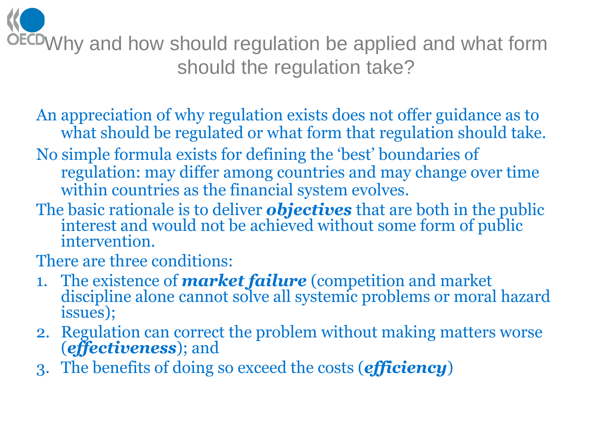Why and how should regulation be applied and what form should the regulation take?

- An appreciation of why regulation exists does not offer guidance as to what should be regulated or what form that regulation should take.
- No simple formula exists for defining the "best" boundaries of regulation: may differ among countries and may change over time within countries as the financial system evolves.
- The basic rationale is to deliver *objectives* that are both in the public interest and would not be achieved without some form of public intervention.
- There are three conditions:
- 1. The existence of *market failure* (competition and market discipline alone cannot solve all systemic problems or moral hazard issues);
- 2. Regulation can correct the problem without making matters worse (*effectiveness*); and
- 3. The benefits of doing so exceed the costs (*efficiency*)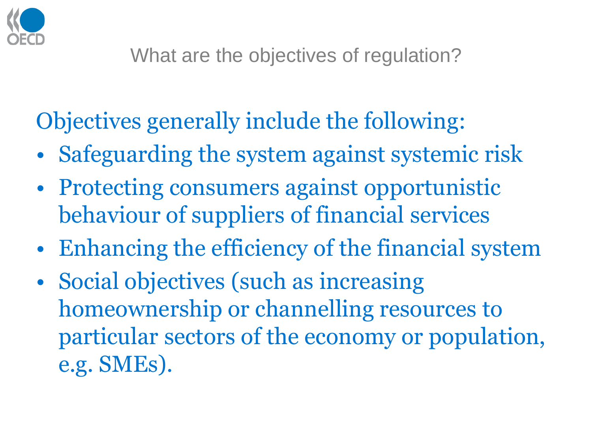

#### Objectives generally include the following:

- Safeguarding the system against systemic risk
- Protecting consumers against opportunistic behaviour of suppliers of financial services
- Enhancing the efficiency of the financial system
- Social objectives (such as increasing homeownership or channelling resources to particular sectors of the economy or population, e.g. SMEs).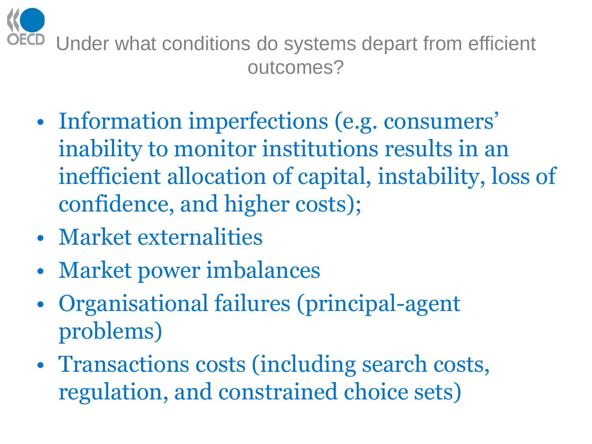

- Information imperfections (e.g. consumers' inability to monitor institutions results in an inefficient allocation of capital, instability, loss of confidence, and higher costs);
- Market externalities
- Market power imbalances
- Organisational failures (principal-agent problems)
- Transactions costs (including search costs, regulation, and constrained choice sets)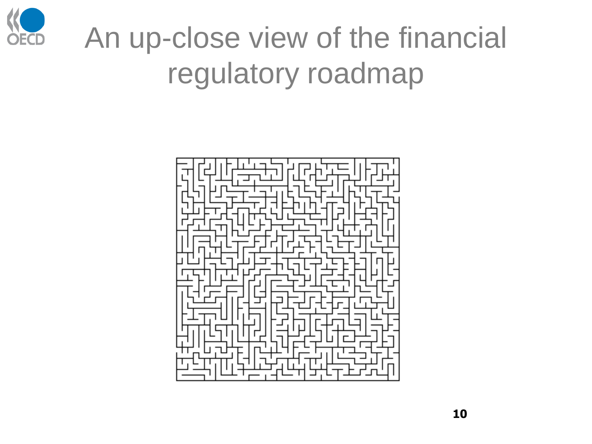

### An up-close view of the financial regulatory roadmap

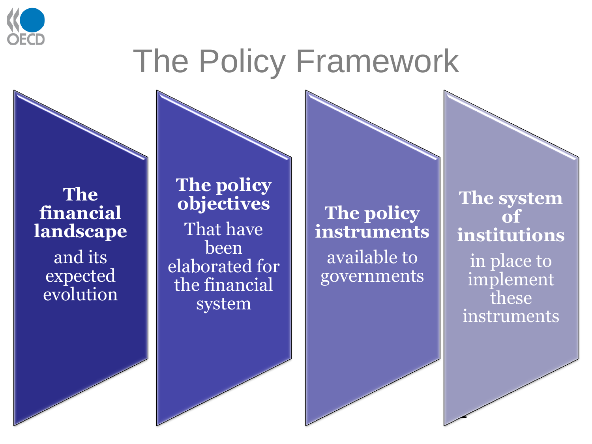

### The Policy Framework

**The financial landscape** and its expected evolution

**The policy objectives** That have been elaborated for the financial system

**The policy instruments** available to governments

**The system of institutions** in place to implement these instruments

**11**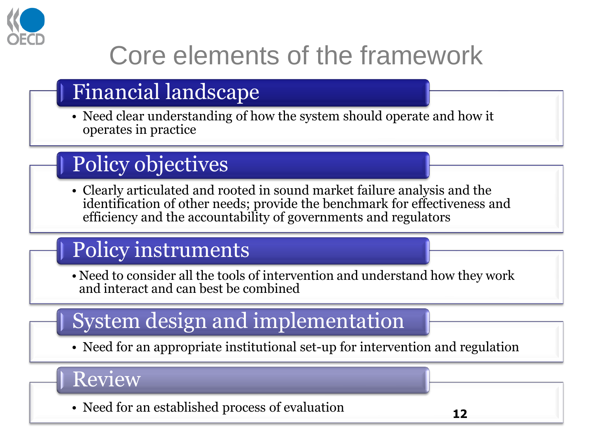

### Core elements of the framework

#### Financial landscape

• Need clear understanding of how the system should operate and how it operates in practice

#### Policy objectives

• Clearly articulated and rooted in sound market failure analysis and the identification of other needs; provide the benchmark for effectiveness and efficiency and the accountability of governments and regulators

#### Policy instruments

• Need to consider all the tools of intervention and understand how they work and interact and can best be combined

#### System design and implementation

• Need for an appropriate institutional set-up for intervention and regulation

Review

• Need for an established process of evaluation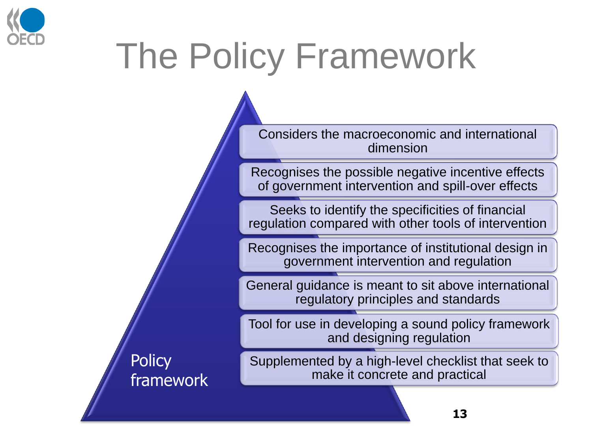

## The Policy Framework

Considers the macroeconomic and international dimension

Recognises the possible negative incentive effects of government intervention and spill-over effects

Seeks to identify the specificities of financial regulation compared with other tools of intervention

Recognises the importance of institutional design in government intervention and regulation

General guidance is meant to sit above international regulatory principles and standards

Tool for use in developing a sound policy framework and designing regulation

Supplemented by a high-level checklist that seek to make it concrete and practical

**Policy** framework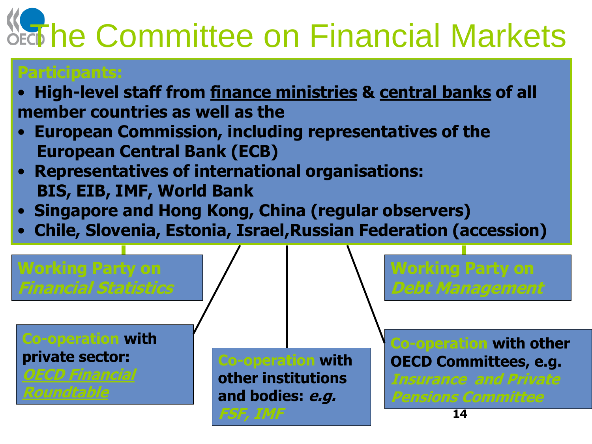# **Note Committee on Financial Markets**

#### **Participants:**

- **High-level staff from finance ministries & central banks of all member countries as well as the**
- **European Commission, including representatives of the European Central Bank (ECB)**
- **Representatives of international organisations: BIS, EIB, IMF, World Bank**
- **Singapore and Hong Kong, China (regular observers)**
- **Chile, Slovenia, Estonia, Israel,Russian Federation (accession)**